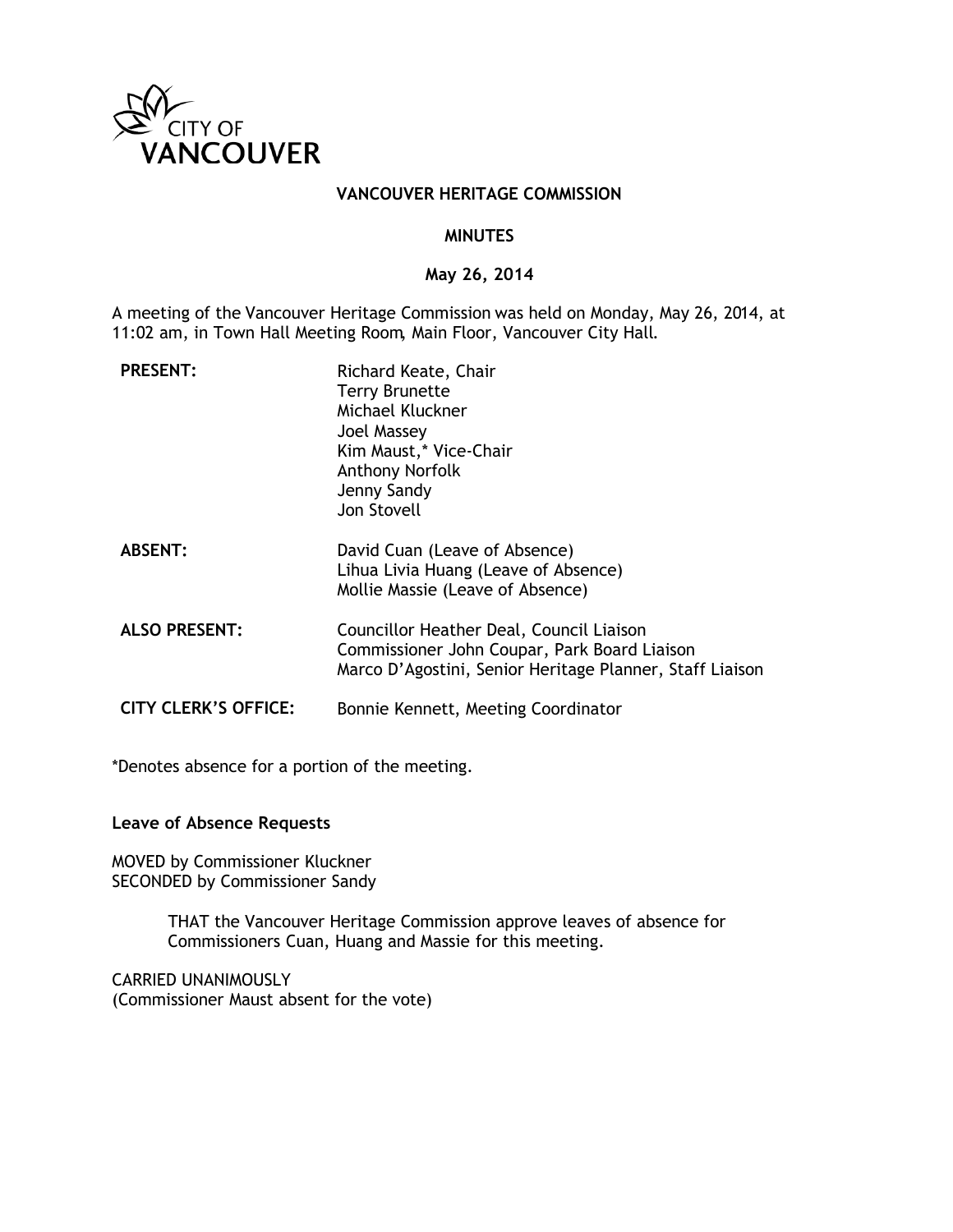

#### **VANCOUVER HERITAGE COMMISSION**

#### **MINUTES**

### **May 26, 2014**

A meeting of the Vancouver Heritage Commission was held on Monday, May 26, 2014, at 11:02 am, in Town Hall Meeting Room, Main Floor, Vancouver City Hall.

| <b>PRESENT:</b>             | Richard Keate, Chair<br><b>Terry Brunette</b><br>Michael Kluckner<br>Joel Massey<br>Kim Maust,* Vice-Chair<br><b>Anthony Norfolk</b><br>Jenny Sandy<br>Jon Stovell |
|-----------------------------|--------------------------------------------------------------------------------------------------------------------------------------------------------------------|
| <b>ABSENT:</b>              | David Cuan (Leave of Absence)<br>Lihua Livia Huang (Leave of Absence)<br>Mollie Massie (Leave of Absence)                                                          |
| <b>ALSO PRESENT:</b>        | Councillor Heather Deal, Council Liaison<br>Commissioner John Coupar, Park Board Liaison<br>Marco D'Agostini, Senior Heritage Planner, Staff Liaison               |
| <b>CITY CLERK'S OFFICE:</b> | Bonnie Kennett, Meeting Coordinator                                                                                                                                |

\*Denotes absence for a portion of the meeting.

#### **Leave of Absence Requests**

MOVED by Commissioner Kluckner SECONDED by Commissioner Sandy

> THAT the Vancouver Heritage Commission approve leaves of absence for Commissioners Cuan, Huang and Massie for this meeting.

CARRIED UNANIMOUSLY (Commissioner Maust absent for the vote)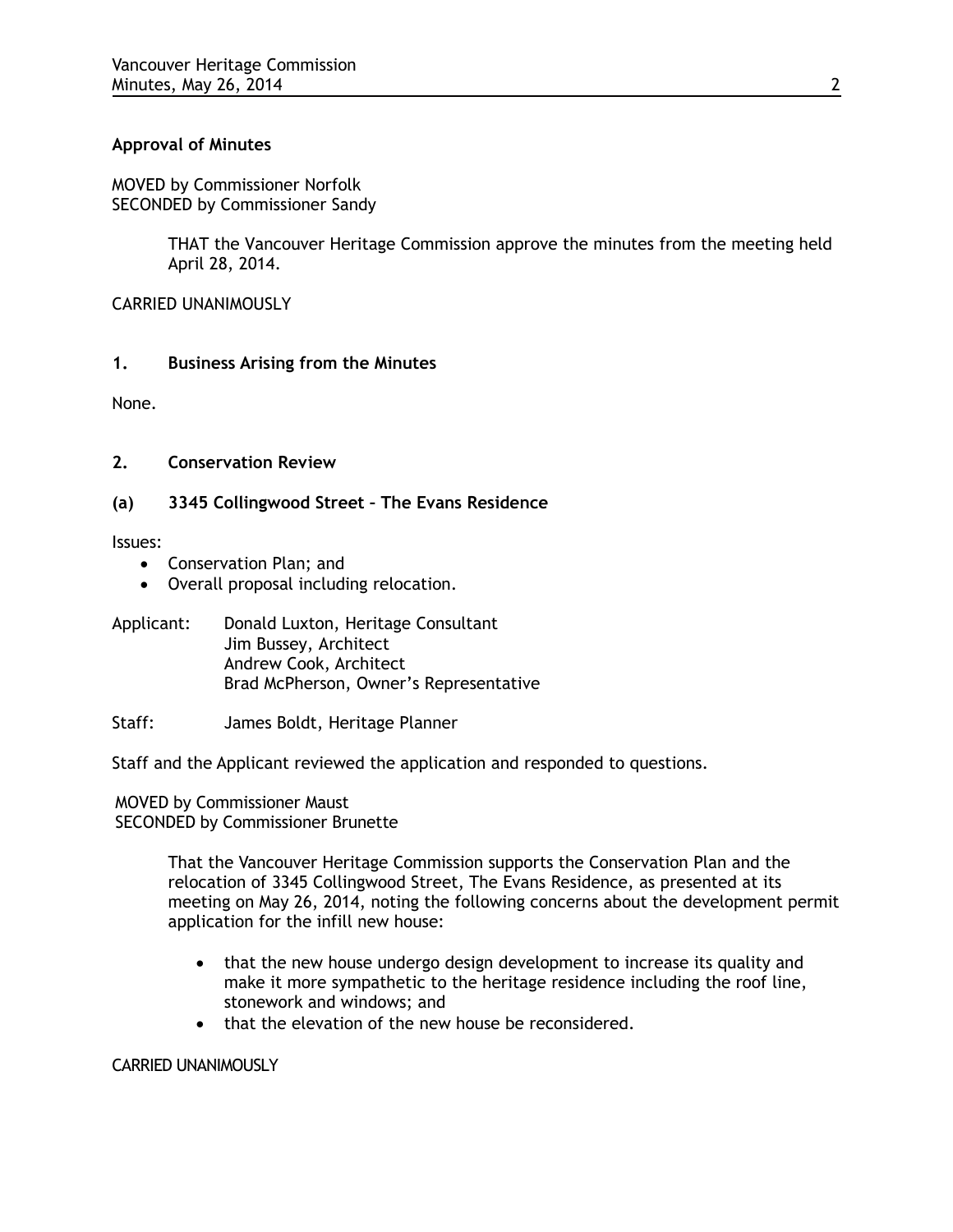# **Approval of Minutes**

MOVED by Commissioner Norfolk SECONDED by Commissioner Sandy

> THAT the Vancouver Heritage Commission approve the minutes from the meeting held April 28, 2014.

CARRIED UNANIMOUSLY

## **1. Business Arising from the Minutes**

None.

# **2. Conservation Review**

## **(a) 3345 Collingwood Street – The Evans Residence**

Issues:

- Conservation Plan; and
- Overall proposal including relocation.
- Applicant: Donald Luxton, Heritage Consultant Jim Bussey, Architect Andrew Cook, Architect Brad McPherson, Owner's Representative
- Staff: James Boldt, Heritage Planner

Staff and the Applicant reviewed the application and responded to questions.

MOVED by Commissioner Maust SECONDED by Commissioner Brunette

> That the Vancouver Heritage Commission supports the Conservation Plan and the relocation of 3345 Collingwood Street, The Evans Residence, as presented at its meeting on May 26, 2014, noting the following concerns about the development permit application for the infill new house:

- that the new house undergo design development to increase its quality and make it more sympathetic to the heritage residence including the roof line, stonework and windows; and
- that the elevation of the new house be reconsidered.

### CARRIED UNANIMOUSLY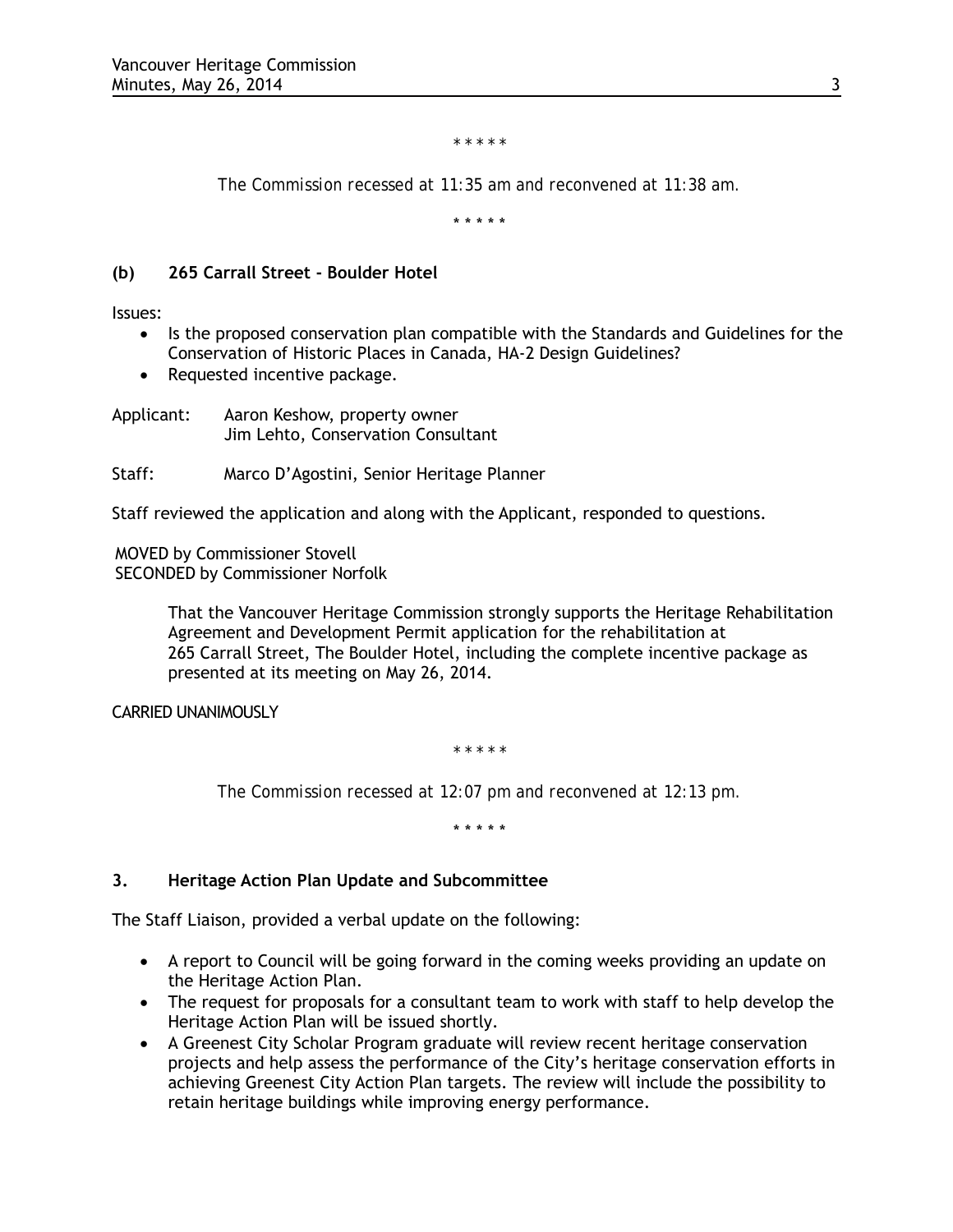*\* \* \* \* \**

*The Commission recessed at 11:35 am and reconvened at 11:38 am.*

\* \* \* \* \*

# **(b) 265 Carrall Street - Boulder Hotel**

Issues:

- Is the proposed conservation plan compatible with the Standards and Guidelines for the Conservation of Historic Places in Canada, HA-2 Design Guidelines?
- Requested incentive package.

Applicant: Aaron Keshow, property owner Jim Lehto, Conservation Consultant

Staff: Marco D'Agostini, Senior Heritage Planner

Staff reviewed the application and along with the Applicant, responded to questions.

MOVED by Commissioner Stovell SECONDED by Commissioner Norfolk

> That the Vancouver Heritage Commission strongly supports the Heritage Rehabilitation Agreement and Development Permit application for the rehabilitation at 265 Carrall Street, The Boulder Hotel, including the complete incentive package as presented at its meeting on May 26, 2014.

CARRIED UNANIMOUSLY

*\* \* \* \* \**

*The Commission recessed at 12:07 pm and reconvened at 12:13 pm.*

\* \* \* \* \*

# **3. Heritage Action Plan Update and Subcommittee**

The Staff Liaison, provided a verbal update on the following:

- A report to Council will be going forward in the coming weeks providing an update on the Heritage Action Plan.
- The request for proposals for a consultant team to work with staff to help develop the Heritage Action Plan will be issued shortly.
- A Greenest City Scholar Program graduate will review recent heritage conservation projects and help assess the performance of the City's heritage conservation efforts in achieving Greenest City Action Plan targets. The review will include the possibility to retain heritage buildings while improving energy performance.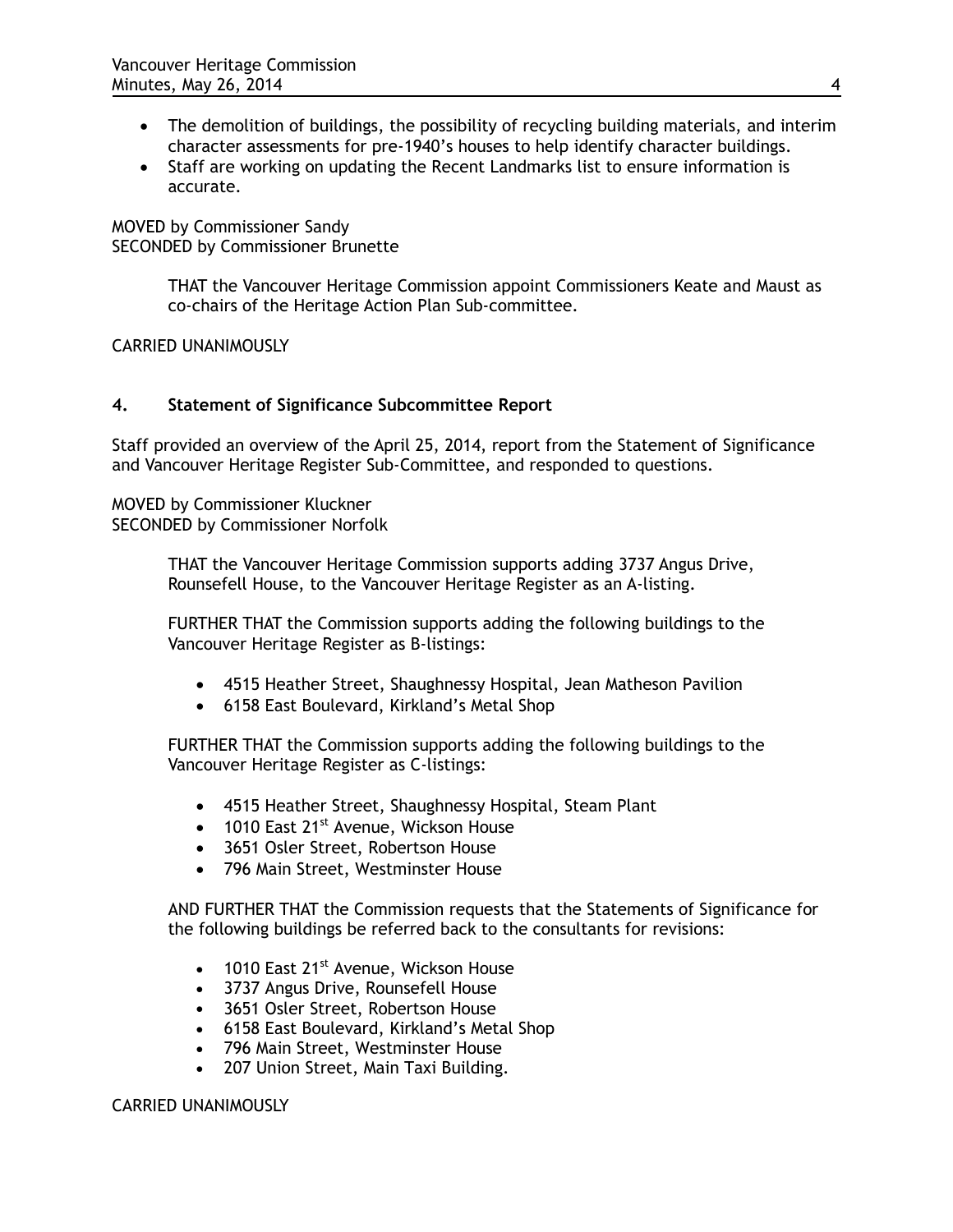- The demolition of buildings, the possibility of recycling building materials, and interim character assessments for pre-1940's houses to help identify character buildings.
- Staff are working on updating the Recent Landmarks list to ensure information is accurate.

MOVED by Commissioner Sandy SECONDED by Commissioner Brunette

> THAT the Vancouver Heritage Commission appoint Commissioners Keate and Maust as co-chairs of the Heritage Action Plan Sub-committee.

CARRIED UNANIMOUSLY

# **4. Statement of Significance Subcommittee Report**

Staff provided an overview of the April 25, 2014, report from the Statement of Significance and Vancouver Heritage Register Sub-Committee, and responded to questions.

MOVED by Commissioner Kluckner SECONDED by Commissioner Norfolk

> THAT the Vancouver Heritage Commission supports adding 3737 Angus Drive, Rounsefell House, to the Vancouver Heritage Register as an A-listing.

FURTHER THAT the Commission supports adding the following buildings to the Vancouver Heritage Register as B-listings:

- 4515 Heather Street, Shaughnessy Hospital, Jean Matheson Pavilion
- 6158 East Boulevard, Kirkland's Metal Shop

FURTHER THAT the Commission supports adding the following buildings to the Vancouver Heritage Register as C-listings:

- 4515 Heather Street, Shaughnessy Hospital, Steam Plant
- 1010 East  $21^{st}$  Avenue, Wickson House
- 3651 Osler Street, Robertson House
- 796 Main Street, Westminster House

AND FURTHER THAT the Commission requests that the Statements of Significance for the following buildings be referred back to the consultants for revisions:

- $\bullet$  1010 East 21<sup>st</sup> Avenue, Wickson House
- 3737 Angus Drive, Rounsefell House
- 3651 Osler Street, Robertson House
- 6158 East Boulevard, Kirkland's Metal Shop
- 796 Main Street, Westminster House
- 207 Union Street, Main Taxi Building.

CARRIED UNANIMOUSLY